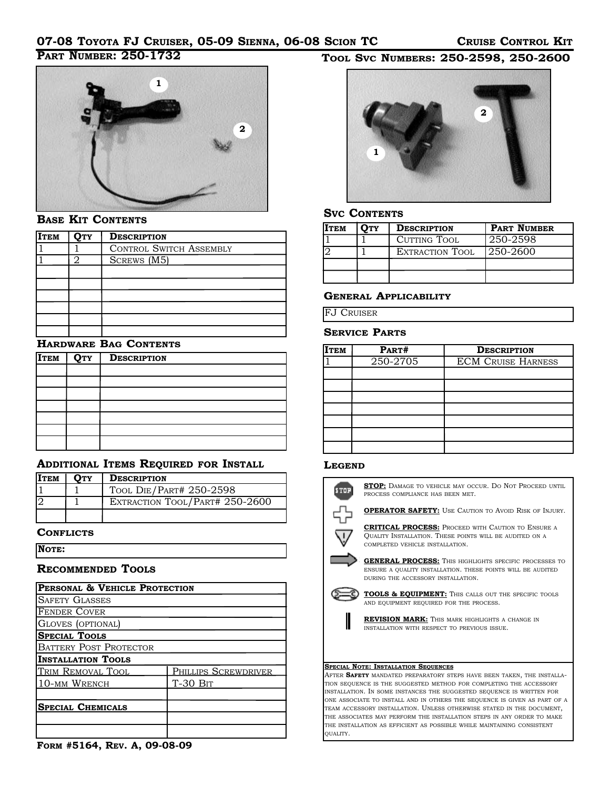## **PART NUMBER: 250-1732**



### **BASE KIT CONTENTS**

| <b>ITEM</b> | <b>QTY</b> | <b>DESCRIPTION</b>             |  |
|-------------|------------|--------------------------------|--|
|             |            | <b>CONTROL SWITCH ASSEMBLY</b> |  |
|             | ∩          | SCREWS (M5)                    |  |
|             |            |                                |  |
|             |            |                                |  |
|             |            |                                |  |
|             |            |                                |  |
|             |            |                                |  |
|             |            |                                |  |

### **HARDWARE BAG CONTENTS**

| <b>ITEM</b> | $ Q_{TY} $ | <b>DESCRIPTION</b> |  |
|-------------|------------|--------------------|--|
|             |            |                    |  |
|             |            |                    |  |
|             |            |                    |  |
|             |            |                    |  |
|             |            |                    |  |
|             |            |                    |  |
|             |            |                    |  |

## **ADDITIONAL ITEMS REQUIRED FOR INSTALL**

| <b>ITEM</b> | <b>OTY</b> | <b>DESCRIPTION</b>             |  |
|-------------|------------|--------------------------------|--|
|             |            | TOOL DIE/PART# 250-2598        |  |
|             |            | EXTRACTION TOOL/PART# 250-2600 |  |
|             |            |                                |  |

#### **CONFLICTS**

**NOTE:** 

### **RECOMMENDED TOOLS**

| PERSONAL & VEHICLE PROTECTION |                      |  |  |  |
|-------------------------------|----------------------|--|--|--|
| <b>SAFETY GLASSES</b>         |                      |  |  |  |
| <b>FENDER COVER</b>           |                      |  |  |  |
| GLOVES (OPTIONAL)             |                      |  |  |  |
| <b>SPECIAL TOOLS</b>          |                      |  |  |  |
| <b>BATTERY POST PROTECTOR</b> |                      |  |  |  |
| <b>INSTALLATION TOOLS</b>     |                      |  |  |  |
| TRIM REMOVAL TOOL             | PHILLIPS SCREWDRIVER |  |  |  |
| 10-MM WRENCH                  | $T-30$ B $T$         |  |  |  |
| <b>SPECIAL CHEMICALS</b>      |                      |  |  |  |
|                               |                      |  |  |  |
|                               |                      |  |  |  |

**FORM #5164, REV. A, 09-08-09**

## **TOOL SVC NUMBERS: 250-2598, 250-2600**



### **SVC CONTENTS**

| <b>ITEM</b> | <b>OTY</b> | <b>DESCRIPTION</b> | <b>PART NUMBER</b> |
|-------------|------------|--------------------|--------------------|
|             |            | CUTTING TOOL       | 250-2598           |
|             |            | EXTRACTION TOOL    | 1250-2600          |
|             |            |                    |                    |
|             |            |                    |                    |

### **GENERAL APPLICABILITY**

FJ CRUISER

#### **SERVICE PARTS**

| <b>ITEM</b> | PART#    | <b>DESCRIPTION</b>        |
|-------------|----------|---------------------------|
|             | 250-2705 | <b>ECM CRUISE HARNESS</b> |
|             |          |                           |
|             |          |                           |
|             |          |                           |
|             |          |                           |
|             |          |                           |
|             |          |                           |
|             |          |                           |

#### **LEGEND**



TEAM ACCESSORY INSTALLATION. UNLESS OTHERWISE STATED IN THE DOCUMENT, THE ASSOCIATES MAY PERFORM THE INSTALLATION STEPS IN ANY ORDER TO MAKE THE INSTALLATION AS EFFICIENT AS POSSIBLE WHILE MAINTAINING CONSISTENT QUALITY.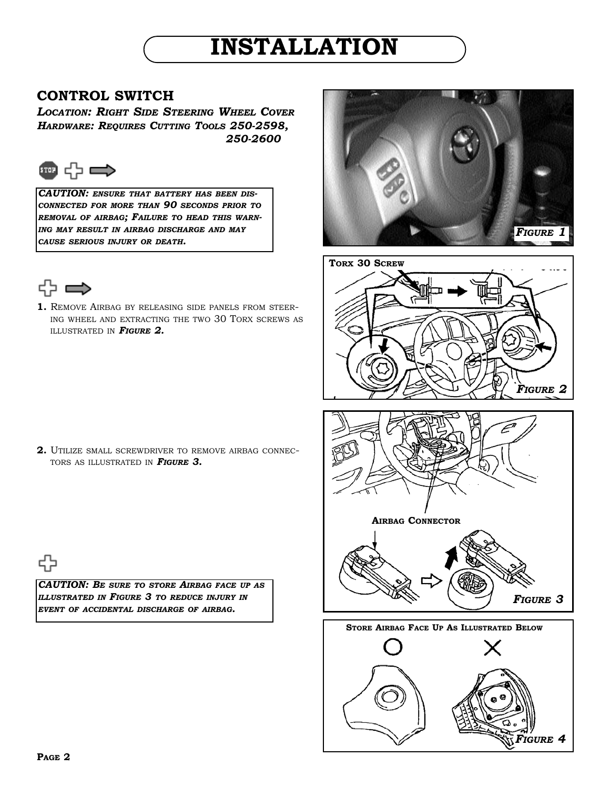# **INSTALLATION**

## **CONTROL SWITCH**

*LOCATION: RIGHT SIDE STEERING WHEEL COVER HARDWARE: REQUIRES CUTTING TOOLS 250-2598, 250-2600*



*CAUTION: ENSURE THAT BATTERY HAS BEEN DIS-CONNECTED FOR MORE THAN 90 SECONDS PRIOR TO REMOVAL OF AIRBAG; FAILURE TO HEAD THIS WARN-ING MAY RESULT IN AIRBAG DISCHARGE AND MAY CAUSE SERIOUS INJURY OR DEATH.*



**1.** REMOVE AIRBAG BY RELEASING SIDE PANELS FROM STEER-ING WHEEL AND EXTRACTING THE TWO 30 TORX SCREWS AS ILLUSTRATED IN *FIGURE 2.*





*CAUTION: BE SURE TO STORE AIRBAG FACE UP AS ILLUSTRATED IN FIGURE 3 TO REDUCE INJURY IN EVENT OF ACCIDENTAL DISCHARGE OF AIRBAG.*







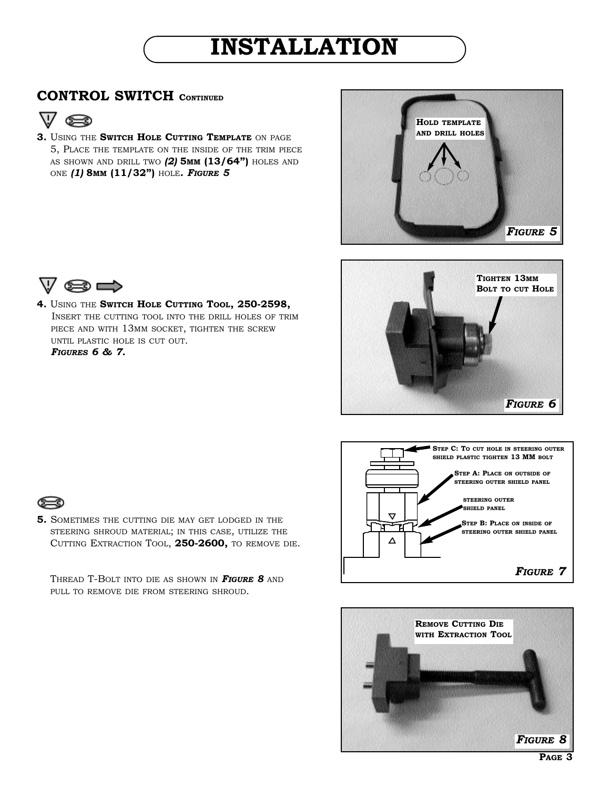# **INSTALLATION**

## **CONTROL SWITCH CONTINUED**



**3.** USING THE **SWITCH HOLE CUTTING TEMPLATE** ON PAGE 5, PLACE THE TEMPLATE ON THE INSIDE OF THE TRIM PIECE AS SHOWN AND DRILL TWO *(2)* **5MM (13/64")** HOLES AND ONE *(1)* **8MM (11/32")** HOLE**.** *FIGURE 5*











**4.** USING THE **SWITCH HOLE CUTTING TOOL, 250-2598,**  INSERT THE CUTTING TOOL INTO THE DRILL HOLES OF TRIM PIECE AND WITH 13MM SOCKET, TIGHTEN THE SCREW UNTIL PLASTIC HOLE IS CUT OUT. *FIGURES 6 & 7.*



**5.** SOMETIMES THE CUTTING DIE MAY GET LODGED IN THE STEERING SHROUD MATERIAL; IN THIS CASE, UTILIZE THE CUTTING EXTRACTION TOOL, **250-2600,** TO REMOVE DIE.

THREAD T-BOLT INTO DIE AS SHOWN IN *FIGURE 8* AND PULL TO REMOVE DIE FROM STEERING SHROUD.

**PAGE 3**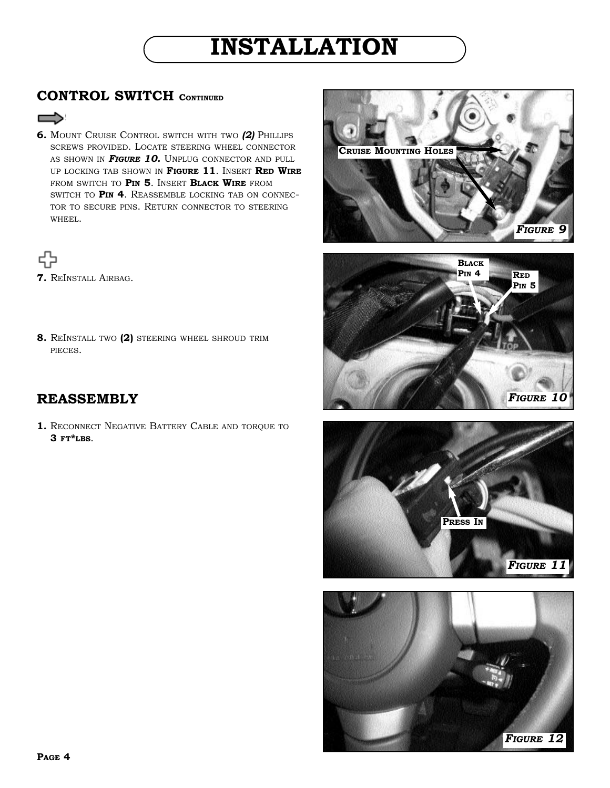# **INSTALLATION**

## **CONTROL SWITCH CONTINUED**

- $\Rightarrow$
- **6.** MOUNT CRUISE CONTROL SWITCH WITH TWO *(2)* PHILLIPS SCREWS PROVIDED. LOCATE STEERING WHEEL CONNECTOR AS SHOWN IN **FIGURE 10.** UNPLUG CONNECTOR AND PULL UP LOCKING TAB SHOWN IN **FIGURE 11**. INSERT **RED WIRE** FROM SWITCH TO **PIN 5**. INSERT **BLACK WIRE** FROM SWITCH TO **PIN 4**. REASSEMBLE LOCKING TAB ON CONNEC-TOR TO SECURE PINS. RETURN CONNECTOR TO STEERING WHEEL.



**7.** REINSTALL AIRBAG.

**8.** REINSTALL TWO **(2)** STEERING WHEEL SHROUD TRIM PIECES.

# **REASSEMBLY**

**1.** RECONNECT NEGATIVE BATTERY CABLE AND TORQUE TO **3 FT\*LBS**.







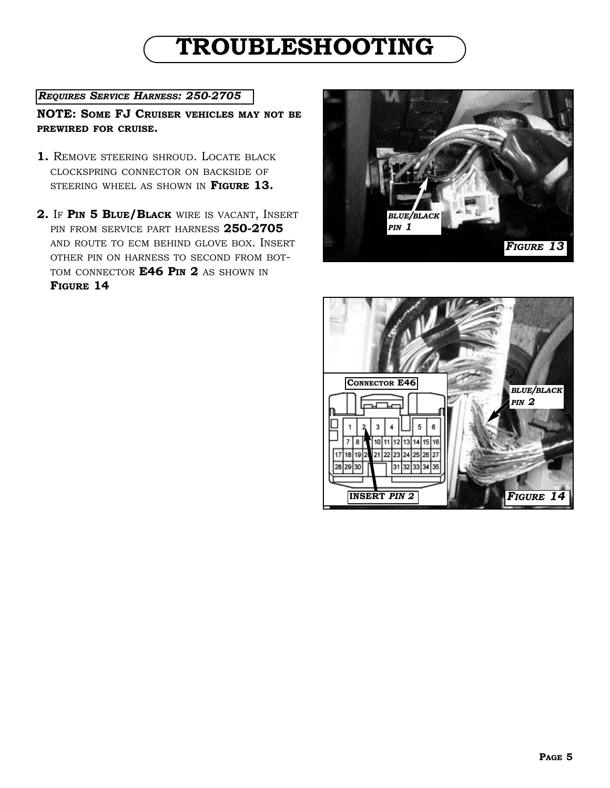# **TROUBLESHOOTING**

### *REQUIRES SERVICE HARNESS: 250-2705*

**NOTE: SOME FJ CRUISER VEHICLES MAY NOT BE PREWIRED FOR CRUISE.** 

- **1.** REMOVE STEERING SHROUD. LOCATE BLACK CLOCKSPRING CONNECTOR ON BACKSIDE OF STEERING WHEEL AS SHOWN IN **FIGURE 13.**
- **2.** IF **PIN 5 BLUE/BLACK** WIRE IS VACANT, INSERT PIN FROM SERVICE PART HARNESS **250-2705** AND ROUTE TO ECM BEHIND GLOVE BOX. INSERT OTHER PIN ON HARNESS TO SECOND FROM BOT-TOM CONNECTOR **E46 PIN 2** AS SHOWN IN **FIGURE 14**



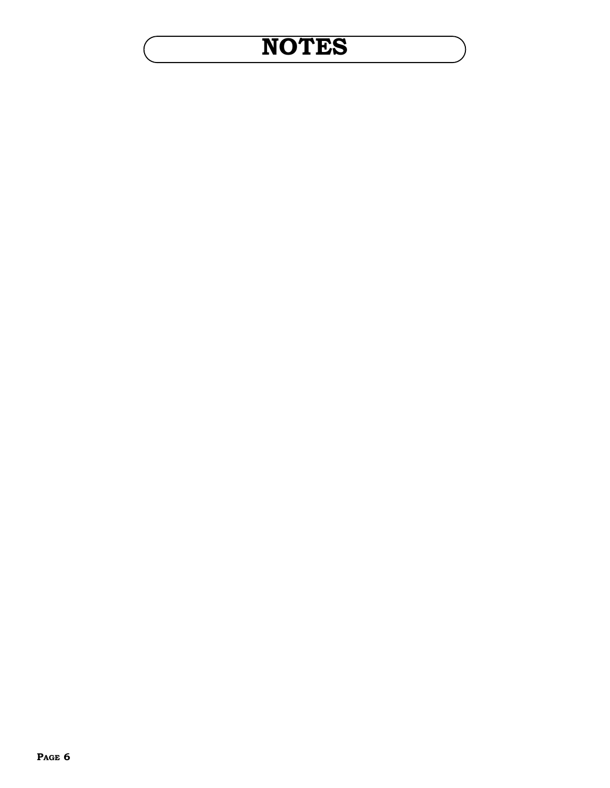# **NOTES**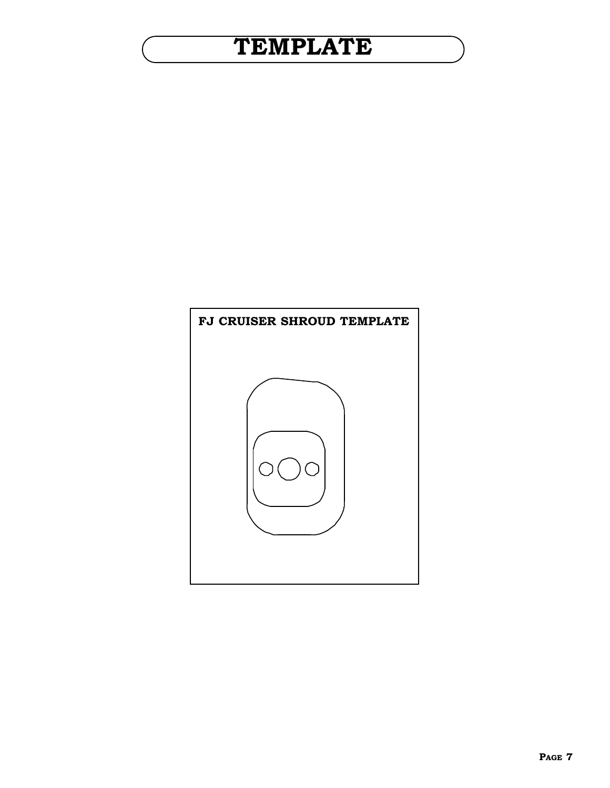# **TEMPLATE**